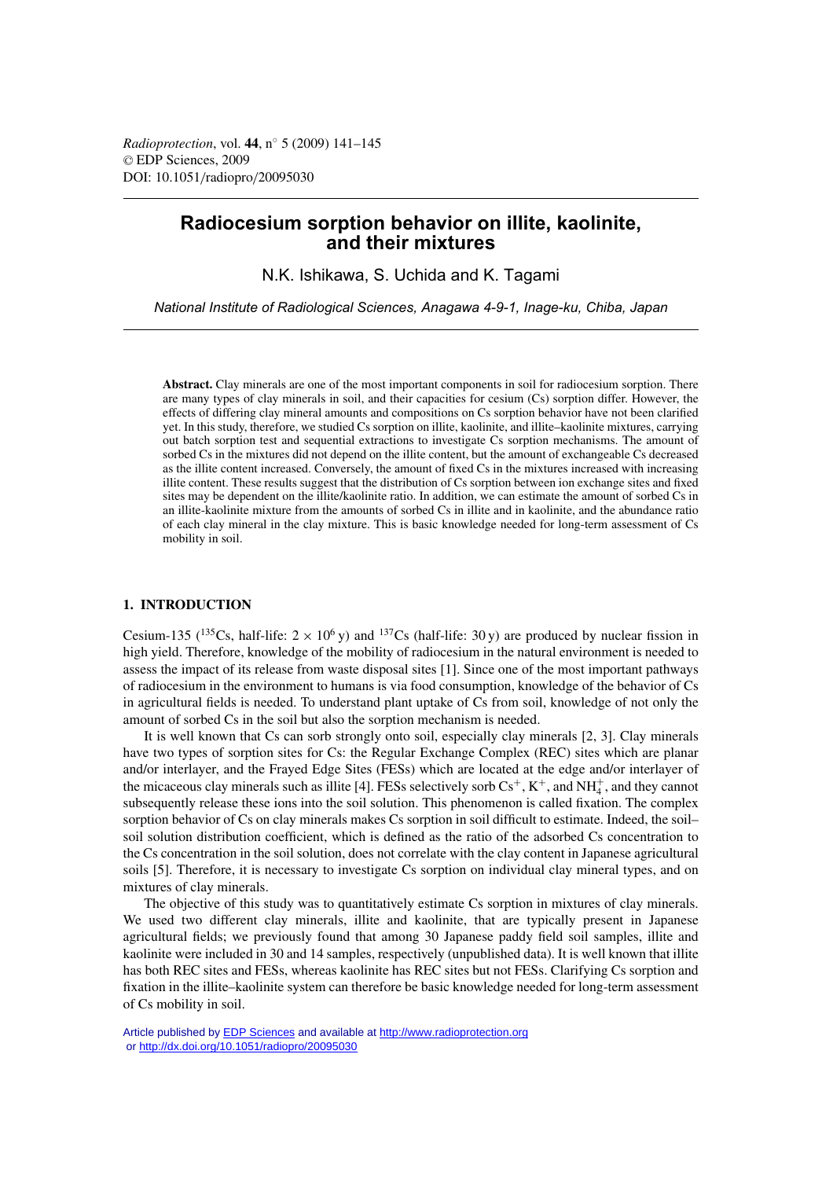# **Radiocesium sorption behavior on illite, kaolinite, and their mixtures**

N.K. Ishikawa, S. Uchida and K. Tagami

*National Institute of Radiological Sciences, Anagawa 4-9-1, Inage-ku, Chiba, Japan*

**Abstract.** Clay minerals are one of the most important components in soil for radiocesium sorption. There are many types of clay minerals in soil, and their capacities for cesium (Cs) sorption differ. However, the effects of differing clay mineral amounts and compositions on Cs sorption behavior have not been clarified yet. In this study, therefore, we studied Cs sorption on illite, kaolinite, and illite–kaolinite mixtures, carrying out batch sorption test and sequential extractions to investigate Cs sorption mechanisms. The amount of sorbed Cs in the mixtures did not depend on the illite content, but the amount of exchangeable Cs decreased as the illite content increased. Conversely, the amount of fixed Cs in the mixtures increased with increasing illite content. These results suggest that the distribution of Cs sorption between ion exchange sites and fixed sites may be dependent on the illite/kaolinite ratio. In addition, we can estimate the amount of sorbed Cs in an illite-kaolinite mixture from the amounts of sorbed Cs in illite and in kaolinite, and the abundance ratio of each clay mineral in the clay mixture. This is basic knowledge needed for long-term assessment of Cs mobility in soil.

## **1. INTRODUCTION**

Cesium-135 ( $^{135}$ Cs, half-life: 2 × 10<sup>6</sup> y) and  $^{137}$ Cs (half-life: 30 y) are produced by nuclear fission in high yield. Therefore, knowledge of the mobility of radiocesium in the natural environment is needed to assess the impact of its release from waste disposal sites [1]. Since one of the most important pathways of radiocesium in the environment to humans is via food consumption, knowledge of the behavior of Cs in agricultural fields is needed. To understand plant uptake of Cs from soil, knowledge of not only the amount of sorbed Cs in the soil but also the sorption mechanism is needed.

It is well known that Cs can sorb strongly onto soil, especially clay minerals [2, 3]. Clay minerals have two types of sorption sites for Cs: the Regular Exchange Complex (REC) sites which are planar and/or interlayer, and the Frayed Edge Sites (FESs) which are located at the edge and/or interlayer of the micaceous clay minerals such as illite [4]. FESs selectively sorb  $Cs^+, K^+$ , and  $NH_4^+$ , and they cannot subsequently release these ions into the soil solution. This phenomenon is called fixation. The complex sorption behavior of Cs on clay minerals makes Cs sorption in soil difficult to estimate. Indeed, the soil– soil solution distribution coefficient, which is defined as the ratio of the adsorbed Cs concentration to the Cs concentration in the soil solution, does not correlate with the clay content in Japanese agricultural soils [5]. Therefore, it is necessary to investigate Cs sorption on individual clay mineral types, and on mixtures of clay minerals.

The objective of this study was to quantitatively estimate Cs sorption in mixtures of clay minerals. We used two different clay minerals, illite and kaolinite, that are typically present in Japanese agricultural fields; we previously found that among 30 Japanese paddy field soil samples, illite and kaolinite were included in 30 and 14 samples, respectively (unpublished data). It is well known that illite has both REC sites and FESs, whereas kaolinite has REC sites but not FESs. Clarifying Cs sorption and fixation in the illite–kaolinite system can therefore be basic knowledge needed for long-term assessment of Cs mobility in soil.

Article published by [EDP Sciences](http://www.edpsciences.org) and available at<http://www.radioprotection.org> or <http://dx.doi.org/10.1051/radiopro/20095030>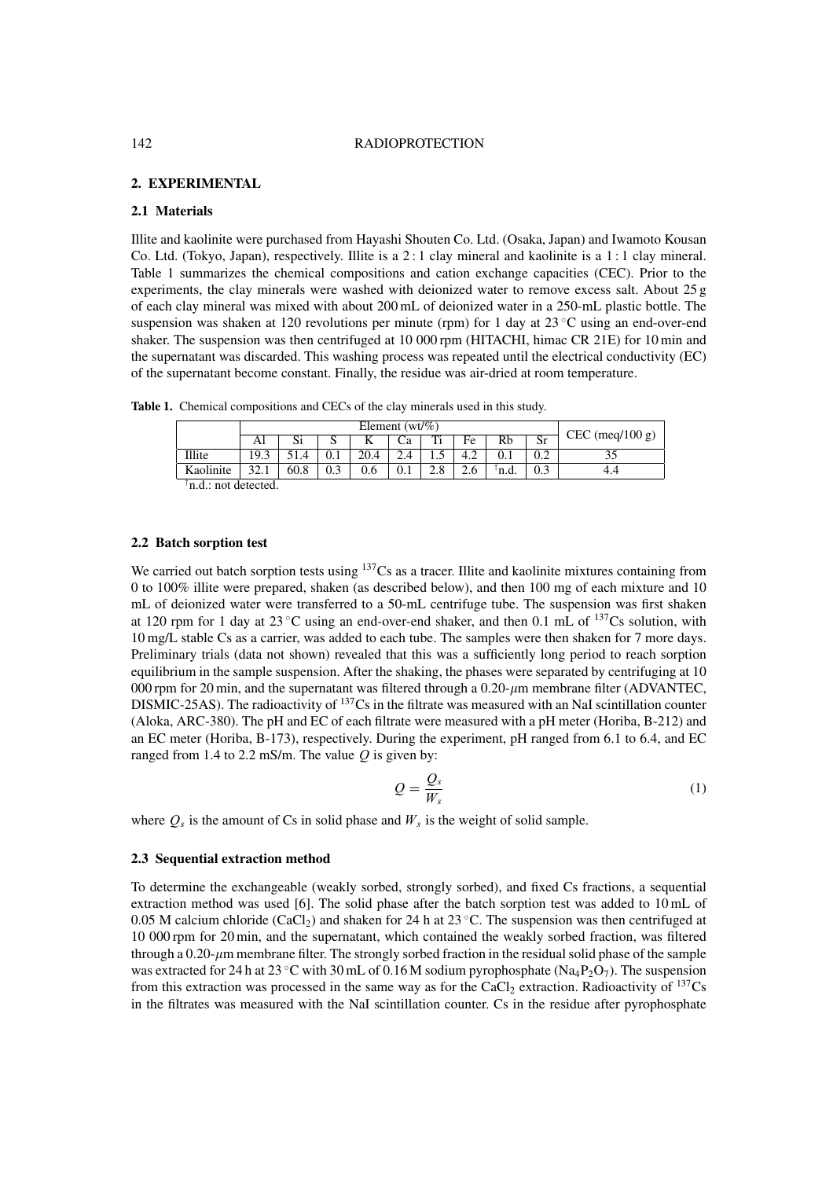## 142 RADIOPROTECTION

## **2. EXPERIMENTAL**

## **2.1 Materials**

Illite and kaolinite were purchased from Hayashi Shouten Co. Ltd. (Osaka, Japan) and Iwamoto Kousan Co. Ltd. (Tokyo, Japan), respectively. Illite is a 2 : 1 clay mineral and kaolinite is a 1 : 1 clay mineral. Table 1 summarizes the chemical compositions and cation exchange capacities (CEC). Prior to the experiments, the clay minerals were washed with deionized water to remove excess salt. About 25 g of each clay mineral was mixed with about 200 mL of deionized water in a 250-mL plastic bottle. The suspension was shaken at 120 revolutions per minute (rpm) for 1 day at 23 °C using an end-over-end shaker. The suspension was then centrifuged at 10 000 rpm (HITACHI, himac CR 21E) for 10 min and the supernatant was discarded. This washing process was repeated until the electrical conductivity (EC) of the supernatant become constant. Finally, the residue was air-dried at room temperature.

**Table 1.** Chemical compositions and CECs of the clay minerals used in this study.

|                     | Element ( $wt\%$ ) |      |      |      |         |      |               |       |    |                   |
|---------------------|--------------------|------|------|------|---------|------|---------------|-------|----|-------------------|
|                     | Al                 | JІ   |      | v    |         | Ti   | Fe            | Rb    | Sr | $CEC$ (meq/100 g) |
| Illite              | 19.3               |      | v. 1 | 20.4 |         | ر. 1 | 4.2           |       |    |                   |
| Kaolinite           | 22                 | 60.8 | 0.3  | 0.6  | $0.1\,$ | 2.8  | $\sim$<br>∠.∪ | 'n.d. |    |                   |
| not detected<br>n d |                    |      |      |      |         |      |               |       |    |                   |

#### † n.d.: not detected.

## **2.2 Batch sorption test**

We carried out batch sorption tests using <sup>137</sup>Cs as a tracer. Illite and kaolinite mixtures containing from 0 to 100% illite were prepared, shaken (as described below), and then 100 mg of each mixture and 10 mL of deionized water were transferred to a 50-mL centrifuge tube. The suspension was first shaken at 120 rpm for 1 day at  $23 \text{ °C}$  using an end-over-end shaker, and then 0.1 mL of  $137 \text{Cs}$  solution, with 10 mg/L stable Cs as a carrier, was added to each tube. The samples were then shaken for 7 more days. Preliminary trials (data not shown) revealed that this was a sufficiently long period to reach sorption equilibrium in the sample suspension. After the shaking, the phases were separated by centrifuging at 10 000 rpm for 20 min, and the supernatant was filtered through a  $0.20$ - $\mu$ m membrane filter (ADVANTEC, DISMIC-25AS). The radioactivity of <sup>137</sup>Cs in the filtrate was measured with an NaI scintillation counter (Aloka, ARC-380). The pH and EC of each filtrate were measured with a pH meter (Horiba, B-212) and an EC meter (Horiba, B-173), respectively. During the experiment, pH ranged from 6.1 to 6.4, and EC ranged from 1.4 to 2.2 mS/m. The value  $Q$  is given by:

$$
Q = \frac{Q_s}{W_s} \tag{1}
$$

where  $Q_s$  is the amount of Cs in solid phase and  $W_s$  is the weight of solid sample.

#### **2.3 Sequential extraction method**

To determine the exchangeable (weakly sorbed, strongly sorbed), and fixed Cs fractions, a sequential extraction method was used [6]. The solid phase after the batch sorption test was added to 10 mL of 0.05 M calcium chloride (CaCl<sub>2</sub>) and shaken for 24 h at 23 °C. The suspension was then centrifuged at 10 000 rpm for 20 min, and the supernatant, which contained the weakly sorbed fraction, was filtered through a 0.20- $\mu$ m membrane filter. The strongly sorbed fraction in the residual solid phase of the sample was extracted for 24 h at 23 °C with 30 mL of 0.16 M sodium pyrophosphate (Na<sub>4</sub>P<sub>2</sub>O<sub>7</sub>). The suspension from this extraction was processed in the same way as for the CaCl<sub>2</sub> extraction. Radioactivity of  $^{137}Cs$ in the filtrates was measured with the NaI scintillation counter. Cs in the residue after pyrophosphate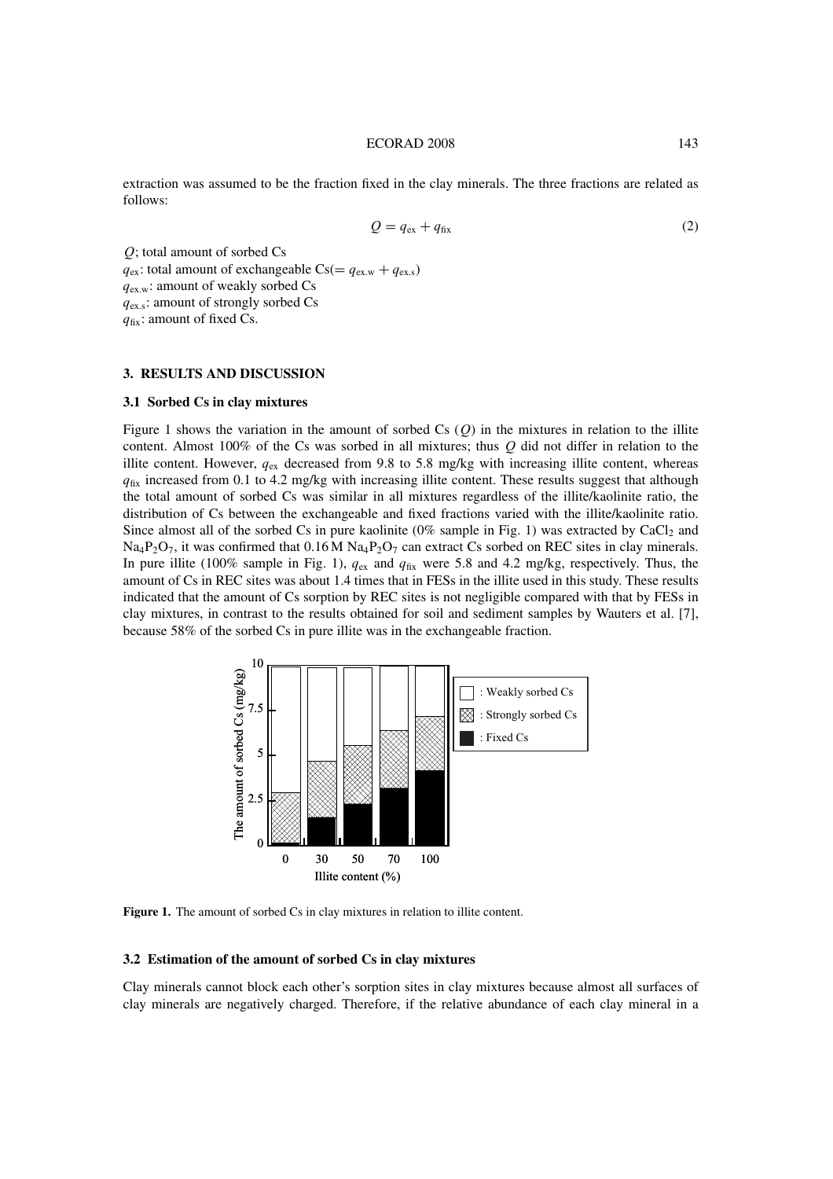#### ECORAD 2008 143

extraction was assumed to be the fraction fixed in the clay minerals. The three fractions are related as follows:

$$
Q = q_{\text{ex}} + q_{\text{fix}} \tag{2}
$$

Q; total amount of sorbed Cs  $q_{ex}$ : total amount of exchangeable Cs(=  $q_{ex,w} + q_{ex,s}$ )  $q_{\text{ex,w}}$ : amount of weakly sorbed Cs  $q_{\text{ex,s}}$ : amount of strongly sorbed Cs  $q_{fix}$ : amount of fixed Cs.

## **3. RESULTS AND DISCUSSION**

### **3.1 Sorbed Cs in clay mixtures**

Figure 1 shows the variation in the amount of sorbed Cs  $(Q)$  in the mixtures in relation to the illite content. Almost 100% of the Cs was sorbed in all mixtures; thus  $Q$  did not differ in relation to the illite content. However,  $q_{ex}$  decreased from 9.8 to 5.8 mg/kg with increasing illite content, whereas  $q_{fix}$  increased from 0.1 to 4.2 mg/kg with increasing illite content. These results suggest that although the total amount of sorbed Cs was similar in all mixtures regardless of the illite/kaolinite ratio, the distribution of Cs between the exchangeable and fixed fractions varied with the illite/kaolinite ratio. Since almost all of the sorbed Cs in pure kaolinite  $(0\%$  sample in Fig. 1) was extracted by CaCl<sub>2</sub> and  $Na_4P_2O_7$ , it was confirmed that  $0.16 M Na_4P_2O_7$  can extract Cs sorbed on REC sites in clay minerals. In pure illite (100% sample in Fig. 1),  $q_{\text{ex}}$  and  $q_{\text{fix}}$  were 5.8 and 4.2 mg/kg, respectively. Thus, the amount of Cs in REC sites was about 1.4 times that in FESs in the illite used in this study. These results indicated that the amount of Cs sorption by REC sites is not negligible compared with that by FESs in clay mixtures, in contrast to the results obtained for soil and sediment samples by Wauters et al. [7], because 58% of the sorbed Cs in pure illite was in the exchangeable fraction.



Figure 1. The amount of sorbed Cs in clay mixtures in relation to illite content.

## **3.2 Estimation of the amount of sorbed Cs in clay mixtures**

Clay minerals cannot block each other's sorption sites in clay mixtures because almost all surfaces of clay minerals are negatively charged. Therefore, if the relative abundance of each clay mineral in a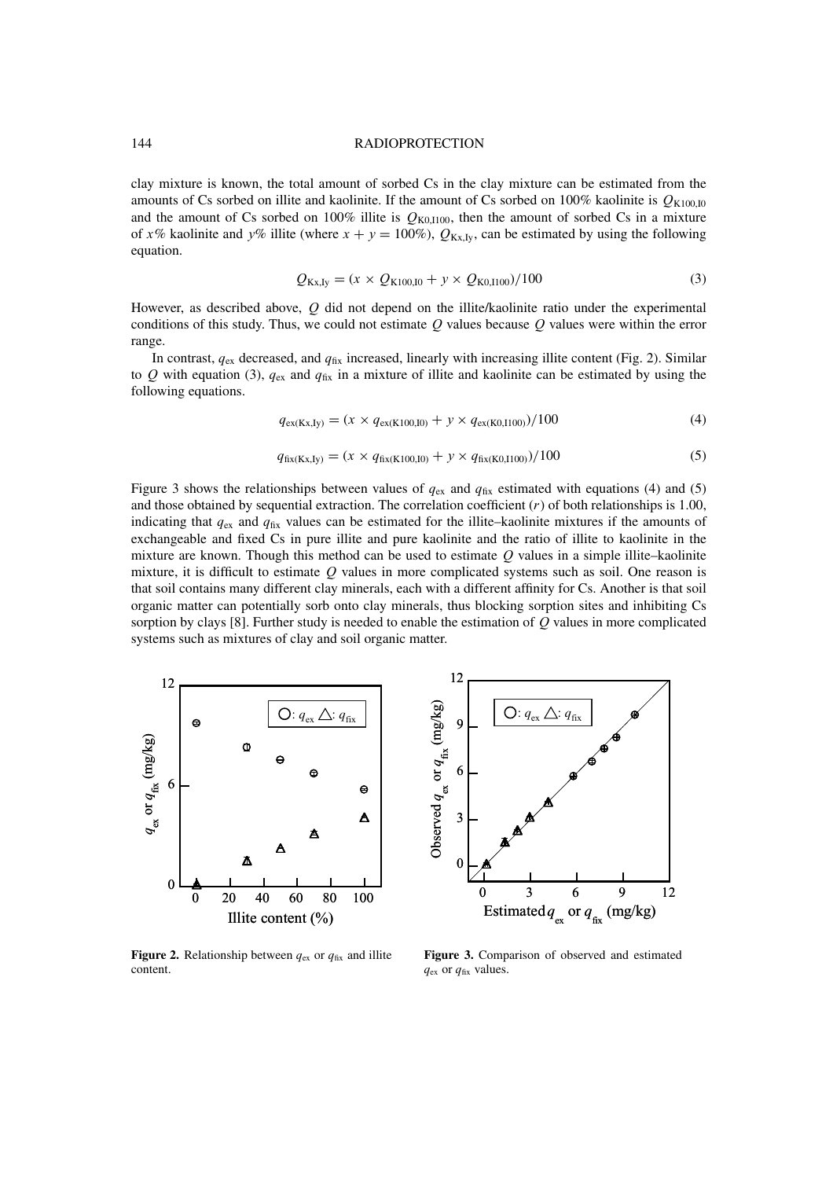### 144 RADIOPROTECTION

clay mixture is known, the total amount of sorbed Cs in the clay mixture can be estimated from the amounts of Cs sorbed on illite and kaolinite. If the amount of Cs sorbed on 100% kaolinite is  $Q_{K100,10}$ and the amount of Cs sorbed on 100% illite is  $Q_{K0,1100}$ , then the amount of sorbed Cs in a mixture of x% kaolinite and y% illite (where  $x + y = 100\%$ ),  $Q_{Kx, Iy}$ , can be estimated by using the following equation.

$$
Q_{\text{Kx,Iy}} = (x \times Q_{\text{K100,I0}} + y \times Q_{\text{K0,I100}})/100
$$
\n(3)

However, as described above, Q did not depend on the illite/kaolinite ratio under the experimental conditions of this study. Thus, we could not estimate  $Q$  values because  $Q$  values were within the error range.

In contrast,  $q_{\text{ex}}$  decreased, and  $q_{\text{fix}}$  increased, linearly with increasing illite content (Fig. 2). Similar to Q with equation (3),  $q_{ex}$  and  $q_{fix}$  in a mixture of illite and kaolinite can be estimated by using the following equations.

$$
q_{\text{ex}(Kx,Iy)} = (x \times q_{\text{ex}(K100,I0)} + y \times q_{\text{ex}(K0,I100)})/100
$$
\n(4)

$$
q_{\text{fix}(Kx,Iy)} = (x \times q_{\text{fix}(K100,I0)} + y \times q_{\text{fix}(K0,I100)})/100
$$
\n(5)

Figure 3 shows the relationships between values of  $q_{ex}$  and  $q_{fix}$  estimated with equations (4) and (5) and those obtained by sequential extraction. The correlation coefficient  $(r)$  of both relationships is 1.00, indicating that  $q_{\text{ex}}$  and  $q_{\text{fix}}$  values can be estimated for the illite–kaolinite mixtures if the amounts of exchangeable and fixed Cs in pure illite and pure kaolinite and the ratio of illite to kaolinite in the mixture are known. Though this method can be used to estimate  $Q$  values in a simple illite–kaolinite mixture, it is difficult to estimate  $Q$  values in more complicated systems such as soil. One reason is that soil contains many different clay minerals, each with a different affinity for Cs. Another is that soil organic matter can potentially sorb onto clay minerals, thus blocking sorption sites and inhibiting Cs sorption by clays  $[8]$ . Further study is needed to enable the estimation of  $Q$  values in more complicated systems such as mixtures of clay and soil organic matter.





**Figure 2.** Relationship between  $q_{\text{ex}}$  or  $q_{\text{fix}}$  and illite content.

**Figure 3.** Comparison of observed and estimated  $q_{\text{ex}}$  or  $q_{\text{fix}}$  values.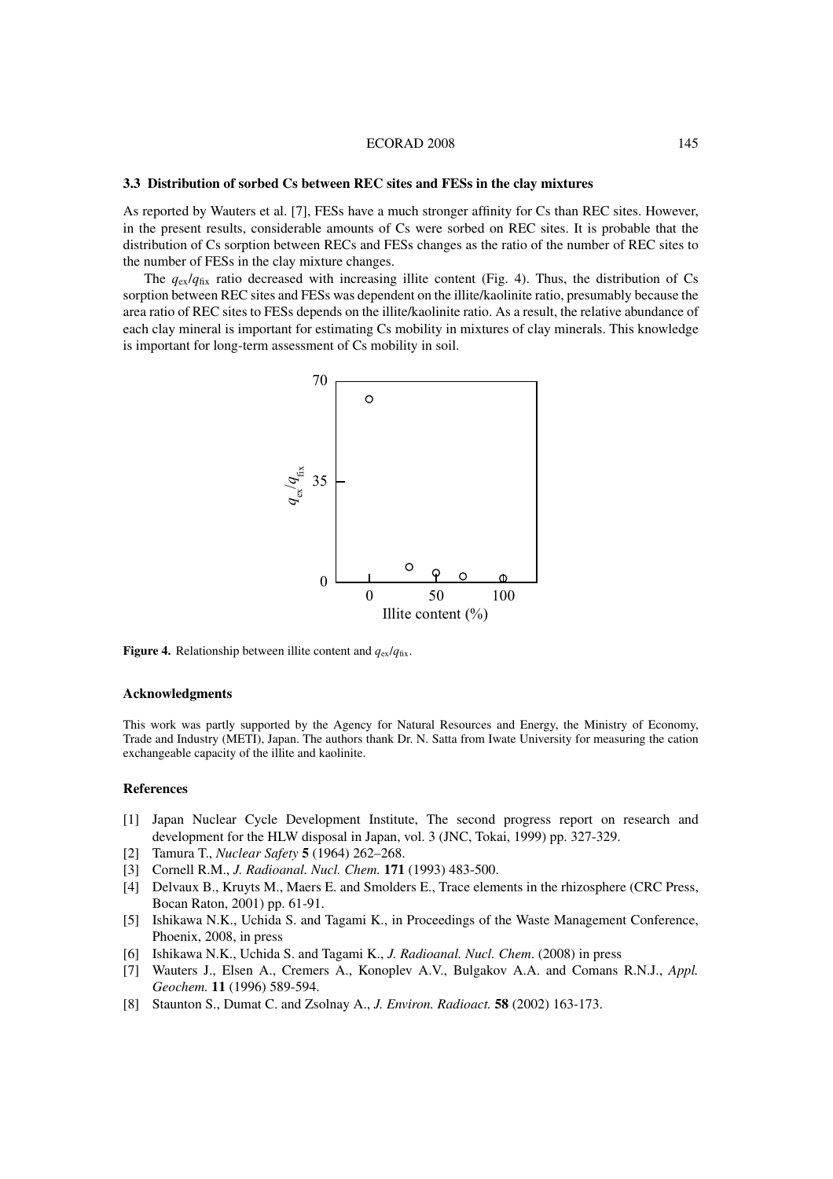### ECORAD 2008 145

### **3.3 Distribution of sorbed Cs between REC sites and FESs in the clay mixtures**

As reported by Wauters et al. [7], FESs have a much stronger affinity for Cs than REC sites. However, in the present results, considerable amounts of Cs were sorbed on REC sites. It is probable that the distribution of Cs sorption between RECs and FESs changes as the ratio of the number of REC sites to the number of FESs in the clay mixture changes.

The  $q_{ex}/q_{fix}$  ratio decreased with increasing illite content (Fig. 4). Thus, the distribution of Cs sorption between REC sites and FESs was dependent on the illite/kaolinite ratio, presumably because the area ratio of REC sites to FESs depends on the illite/kaolinite ratio. As a result, the relative abundance of each clay mineral is important for estimating Cs mobility in mixtures of clay minerals. This knowledge is important for long-term assessment of Cs mobility in soil.



**Figure 4.** Relationship between illite content and  $q_{ex}/q_{fix}$ .

#### **Acknowledgments**

This work was partly supported by the Agency for Natural Resources and Energy, the Ministry of Economy, Trade and Industry (METI), Japan. The authors thank Dr. N. Satta from Iwate University for measuring the cation exchangeable capacity of the illite and kaolinite.

## **References**

- [1] Japan Nuclear Cycle Development Institute, The second progress report on research and development for the HLW disposal in Japan, vol. 3 (JNC, Tokai, 1999) pp. 327-329.
- [2] Tamura T., *Nuclear Safety* **5** (1964) 262–268.
- [3] Cornell R.M., *J. Radioanal. Nucl. Chem.* **171** (1993) 483-500.
- [4] Delvaux B., Kruyts M., Maers E. and Smolders E., Trace elements in the rhizosphere (CRC Press, Bocan Raton, 2001) pp. 61-91.
- [5] Ishikawa N.K., Uchida S. and Tagami K., in Proceedings of the Waste Management Conference, Phoenix, 2008, in press
- [6] Ishikawa N.K., Uchida S. and Tagami K., *J. Radioanal. Nucl. Chem*. (2008) in press
- [7] Wauters J., Elsen A., Cremers A., Konoplev A.V., Bulgakov A.A. and Comans R.N.J., *Appl. Geochem.* **11** (1996) 589-594.
- [8] Staunton S., Dumat C. and Zsolnay A., *J. Environ. Radioact.* **58** (2002) 163-173.